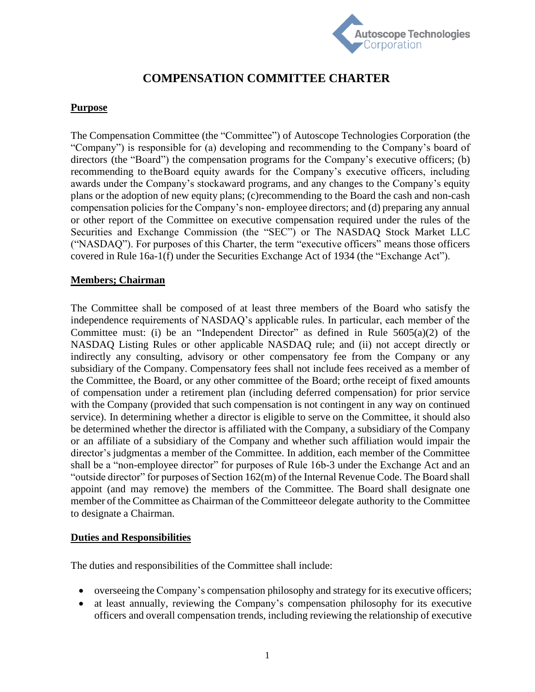

# **COMPENSATION COMMITTEE CHARTER**

## **Purpose**

The Compensation Committee (the "Committee") of Autoscope Technologies Corporation (the "Company") is responsible for (a) developing and recommending to the Company's board of directors (the "Board") the compensation programs for the Company's executive officers; (b) recommending to theBoard equity awards for the Company's executive officers, including awards under the Company's stockaward programs, and any changes to the Company's equity plans or the adoption of new equity plans; (c)recommending to the Board the cash and non-cash compensation policies for the Company's non- employee directors; and (d) preparing any annual or other report of the Committee on executive compensation required under the rules of the Securities and Exchange Commission (the "SEC") or The NASDAQ Stock Market LLC ("NASDAQ"). For purposes of this Charter, the term "executive officers" means those officers covered in Rule 16a-1(f) under the Securities Exchange Act of 1934 (the "Exchange Act").

### **Members; Chairman**

The Committee shall be composed of at least three members of the Board who satisfy the independence requirements of NASDAQ's applicable rules. In particular, each member of the Committee must: (i) be an "Independent Director" as defined in Rule  $5605(a)(2)$  of the NASDAQ Listing Rules or other applicable NASDAQ rule; and (ii) not accept directly or indirectly any consulting, advisory or other compensatory fee from the Company or any subsidiary of the Company. Compensatory fees shall not include fees received as a member of the Committee, the Board, or any other committee of the Board; orthe receipt of fixed amounts of compensation under a retirement plan (including deferred compensation) for prior service with the Company (provided that such compensation is not contingent in any way on continued service). In determining whether a director is eligible to serve on the Committee, it should also be determined whether the director is affiliated with the Company, a subsidiary of the Company or an affiliate of a subsidiary of the Company and whether such affiliation would impair the director's judgmentas a member of the Committee. In addition, each member of the Committee shall be a "non-employee director" for purposes of Rule 16b-3 under the Exchange Act and an "outside director" for purposes of Section 162(m) of the Internal Revenue Code. The Board shall appoint (and may remove) the members of the Committee. The Board shall designate one member of the Committee as Chairman of the Committeeor delegate authority to the Committee to designate a Chairman.

#### **Duties and Responsibilities**

The duties and responsibilities of the Committee shall include:

- overseeing the Company's compensation philosophy and strategy for its executive officers;
- at least annually, reviewing the Company's compensation philosophy for its executive officers and overall compensation trends, including reviewing the relationship of executive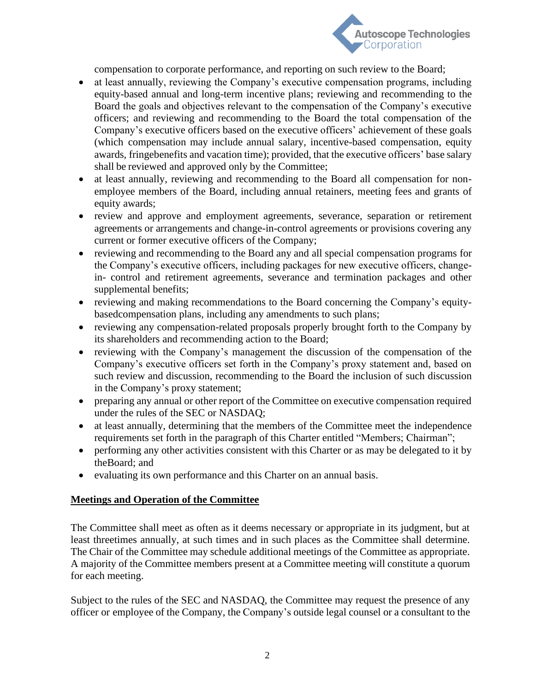

compensation to corporate performance, and reporting on such review to the Board;

- at least annually, reviewing the Company's executive compensation programs, including equity-based annual and long-term incentive plans; reviewing and recommending to the Board the goals and objectives relevant to the compensation of the Company's executive officers; and reviewing and recommending to the Board the total compensation of the Company's executive officers based on the executive officers' achievement of these goals (which compensation may include annual salary, incentive-based compensation, equity awards, fringebenefits and vacation time); provided, that the executive officers' base salary shall be reviewed and approved only by the Committee;
- at least annually, reviewing and recommending to the Board all compensation for nonemployee members of the Board, including annual retainers, meeting fees and grants of equity awards;
- review and approve and employment agreements, severance, separation or retirement agreements or arrangements and change-in-control agreements or provisions covering any current or former executive officers of the Company;
- reviewing and recommending to the Board any and all special compensation programs for the Company's executive officers, including packages for new executive officers, changein- control and retirement agreements, severance and termination packages and other supplemental benefits;
- reviewing and making recommendations to the Board concerning the Company's equitybasedcompensation plans, including any amendments to such plans;
- reviewing any compensation-related proposals properly brought forth to the Company by its shareholders and recommending action to the Board;
- reviewing with the Company's management the discussion of the compensation of the Company's executive officers set forth in the Company's proxy statement and, based on such review and discussion, recommending to the Board the inclusion of such discussion in the Company's proxy statement;
- preparing any annual or other report of the Committee on executive compensation required under the rules of the SEC or NASDAQ;
- at least annually, determining that the members of the Committee meet the independence requirements set forth in the paragraph of this Charter entitled "Members; Chairman";
- performing any other activities consistent with this Charter or as may be delegated to it by theBoard; and
- evaluating its own performance and this Charter on an annual basis.

## **Meetings and Operation of the Committee**

The Committee shall meet as often as it deems necessary or appropriate in its judgment, but at least threetimes annually, at such times and in such places as the Committee shall determine. The Chair of the Committee may schedule additional meetings of the Committee as appropriate. A majority of the Committee members present at a Committee meeting will constitute a quorum for each meeting.

Subject to the rules of the SEC and NASDAQ, the Committee may request the presence of any officer or employee of the Company, the Company's outside legal counsel or a consultant to the